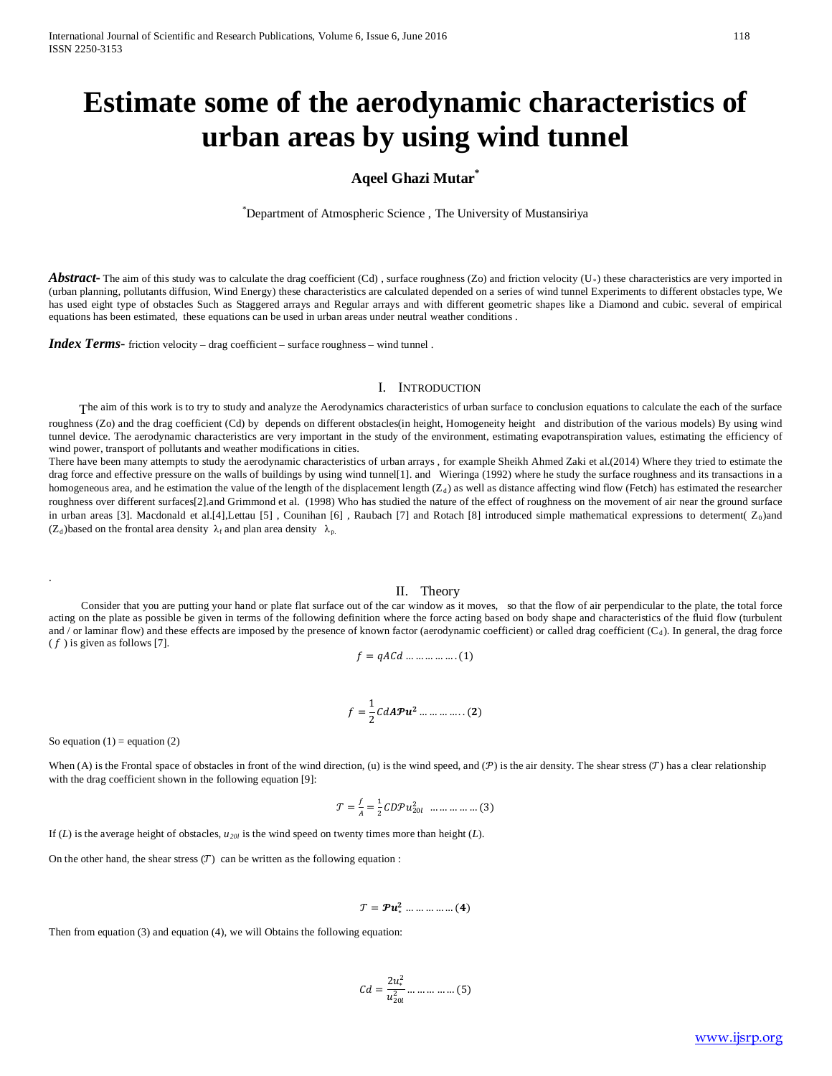# **Estimate some of the aerodynamic characteristics of urban areas by using wind tunnel**

# **Aqeel Ghazi Mutar\***

<sup>\*</sup>Department of Atmospheric Science, The University of Mustansiriya

Abstract<sub>r</sub> The aim of this study was to calculate the drag coefficient (Cd), surface roughness (Zo) and friction velocity (U<sub><sup>*R*</sub>)</sup> these characteristics are very imported in</sub> (urban planning, pollutants diffusion, Wind Energy) these characteristics are calculated depended on a series of wind tunnel Experiments to different obstacles type, We has used eight type of obstacles Such as Staggered arrays and Regular arrays and with different geometric shapes like a Diamond and cubic. several of empirical equations has been estimated, these equations can be used in urban areas under neutral weather conditions .

*Index Terms*- friction velocity – drag coefficient – surface roughness – wind tunnel .

#### I. INTRODUCTION

The aim of this work is to try to study and analyze the Aerodynamics characteristics of urban surface to conclusion equations to calculate the each of the surface

roughness (Zo) and the drag coefficient (Cd) by depends on different obstacles(in height, Homogeneity height and distribution of the various models) By using wind tunnel device. The aerodynamic characteristics are very important in the study of the environment, estimating evapotranspiration values, estimating the efficiency of wind power, transport of pollutants and weather modifications in cities.

There have been many attempts to study the aerodynamic characteristics of urban arrays , for example Sheikh Ahmed Zaki et al.(2014) Where they tried to estimate the drag force and effective pressure on the walls of buildings by using wind tunnel[1]. and Wieringa (1992) where he study the surface roughness and its transactions in a homogeneous area, and he estimation the value of the length of the displacement length (Z<sub>d</sub>) as well as distance affecting wind flow (Fetch) has estimated the researcher roughness over different surfaces[2].and Grimmond et al. (1998) Who has studied the nature of the effect of roughness on the movement of air near the ground surface in urban areas [3]. Macdonald et al.[4],Lettau [5], Counihan [6], Raubach [7] and Rotach [8] introduced simple mathematical expressions to determent( Z<sub>0</sub>)and ( $Z_d$ )based on the frontal area density  $\lambda_f$  and plan area density  $\lambda_p$ .

II. Theory<br>Consider that you are putting your hand or plate flat surface out of the car window as it moves, so that the flow of air perpendicular to the plate, the total force acting on the plate as possible be given in terms of the following definition where the force acting based on body shape and characteristics of the fluid flow (turbulent and / or laminar flow) and these effects are imposed by the presence of known factor (aerodynamic coefficient) or called drag coefficient (C<sub>d</sub>). In general, the drag force  $(f)$  is given as follows [7].

$$
f = qACd \dots \dots \dots \dots \dots (1)
$$

$$
f = \frac{1}{2} C dA \mathcal{P} \mathbf{u}^2 \dots \dots \dots \dots \dots (2)
$$

So equation  $(1)$  = equation  $(2)$ 

.

When (A) is the Frontal space of obstacles in front of the wind direction, (u) is the wind speed, and (P) is the air density. The shear stress (T) has a clear relationship with the drag coefficient shown in the following equation [9]:

$$
\mathcal{T} = \frac{f}{A} = \frac{1}{2} C D \mathcal{P} u_{20l}^2 \dots \dots \dots \dots \dots (3)
$$

If  $(L)$  is the average height of obstacles,  $u_{20l}$  is the wind speed on twenty times more than height  $(L)$ .

On the other hand, the shear stress  $(\mathcal{T})$  can be written as the following equation :

 $T = \mathcal{P} u^2_* \dots \dots \dots \dots (4)$ 

Then from equation (3) and equation (4), we will Obtains the following equation:

$$
Cd = \frac{2u_*^2}{u_{20l}^2} \dots \dots \dots \dots \dots (5)
$$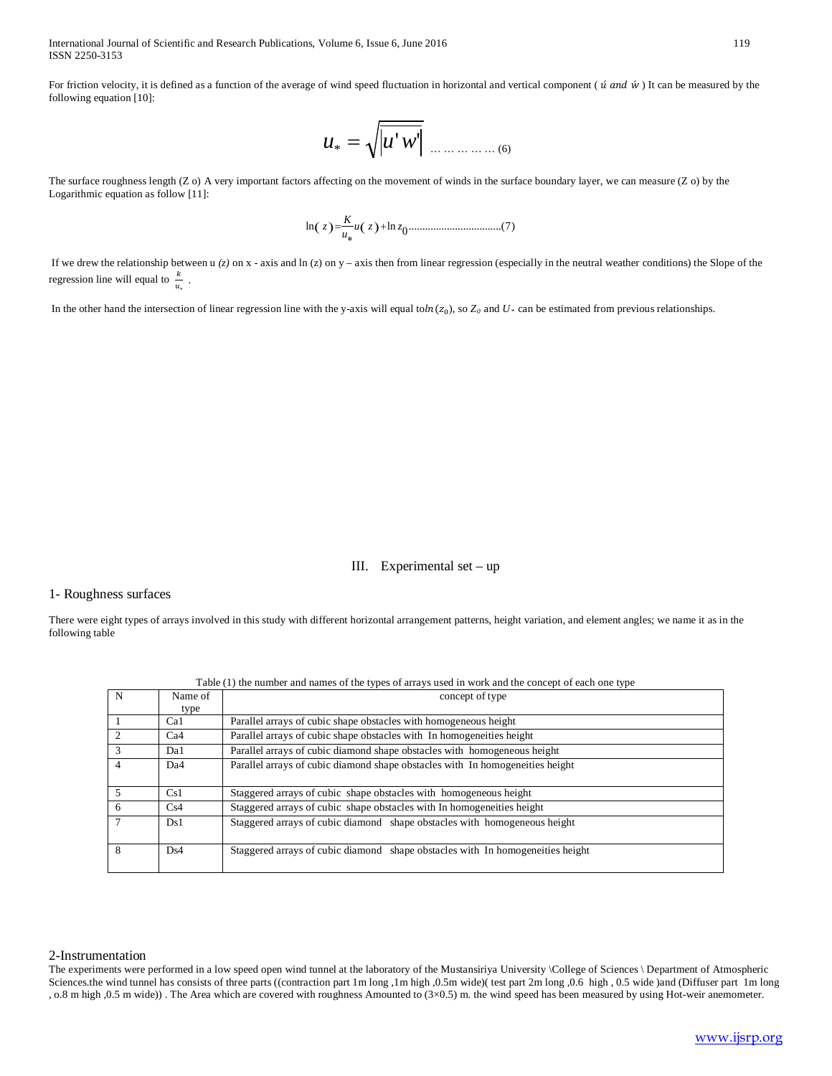International Journal of Scientific and Research Publications, Volume 6, Issue 6, June 2016 119 ISSN 2250-3153

For friction velocity, it is defined as a function of the average of wind speed fluctuation in horizontal and vertical component ( $\acute{u}$  and  $\acute{w}$ ) It can be measured by the following equation [10]:

'' *u*\* = *u w* … … … … … (6)

The surface roughness length (Z o) A very important factors affecting on the movement of winds in the surface boundary layer, we can measure (Z o) by the Logarithmic equation as follow [11]:

( ) ( ) ..................................(7) <sup>0</sup> ln *<sup>u</sup> <sup>z</sup>* ln *<sup>z</sup> <sup>u</sup> <sup>K</sup> <sup>z</sup>* <sup>+</sup> ∗ =

If we drew the relationship between u  $(z)$  on x - axis and ln  $(z)$  on y – axis then from linear regression (especially in the neutral weather conditions) the Slope of the regression line will equal to  $\frac{k}{u_*}$ .

In the other hand the intersection of linear regression line with the y-axis will equal to $ln(z_0)$ , so  $Z_0$  and  $U_*$  can be estimated from previous relationships.

### III. Experimental set – up

#### 1- Roughness surfaces

There were eight types of arrays involved in this study with different horizontal arrangement patterns, height variation, and element angles; we name it as in the following table

| Table (1) the number and names of the types of arrays used in work and the concept of each one type |                 |                                                                                |  |  |  |
|-----------------------------------------------------------------------------------------------------|-----------------|--------------------------------------------------------------------------------|--|--|--|
| N                                                                                                   | Name of         | concept of type                                                                |  |  |  |
|                                                                                                     | type            |                                                                                |  |  |  |
|                                                                                                     | Ca1             | Parallel arrays of cubic shape obstacles with homogeneous height               |  |  |  |
|                                                                                                     | Ca4             | Parallel arrays of cubic shape obstacles with In homogeneities height          |  |  |  |
|                                                                                                     | Da1             | Parallel arrays of cubic diamond shape obstacles with homogeneous height       |  |  |  |
| 4                                                                                                   | Da <sub>4</sub> | Parallel arrays of cubic diamond shape obstacles with In homogeneities height  |  |  |  |
|                                                                                                     |                 |                                                                                |  |  |  |
| 5                                                                                                   | Cs1             | Staggered arrays of cubic shape obstacles with homogeneous height              |  |  |  |
| 6                                                                                                   | Cs4             | Staggered arrays of cubic shape obstacles with In homogeneities height         |  |  |  |
|                                                                                                     | Ds1             | Staggered arrays of cubic diamond shape obstacles with homogeneous height      |  |  |  |
|                                                                                                     |                 |                                                                                |  |  |  |
| 8                                                                                                   | Ds4             | Staggered arrays of cubic diamond shape obstacles with In homogeneities height |  |  |  |
|                                                                                                     |                 |                                                                                |  |  |  |

#### Table (1) the number and names of the types of arrays used in work and the concept of each one type

### 2-Instrumentation

The experiments were performed in a low speed open wind tunnel at the laboratory of the Mustansiriya University \College of Sciences \ Department of Atmospheric Sciences.the wind tunnel has consists of three parts ((contraction part 1m long ,1m high ,0.5m wide)( test part 2m long ,0.6 high , 0.5 wide) and (Diffuser part 1m long , o.8 m high ,0.5 m wide)) . The Area which are covered with roughness Amounted to (3×0.5) m. the wind speed has been measured by using Hot-weir anemometer.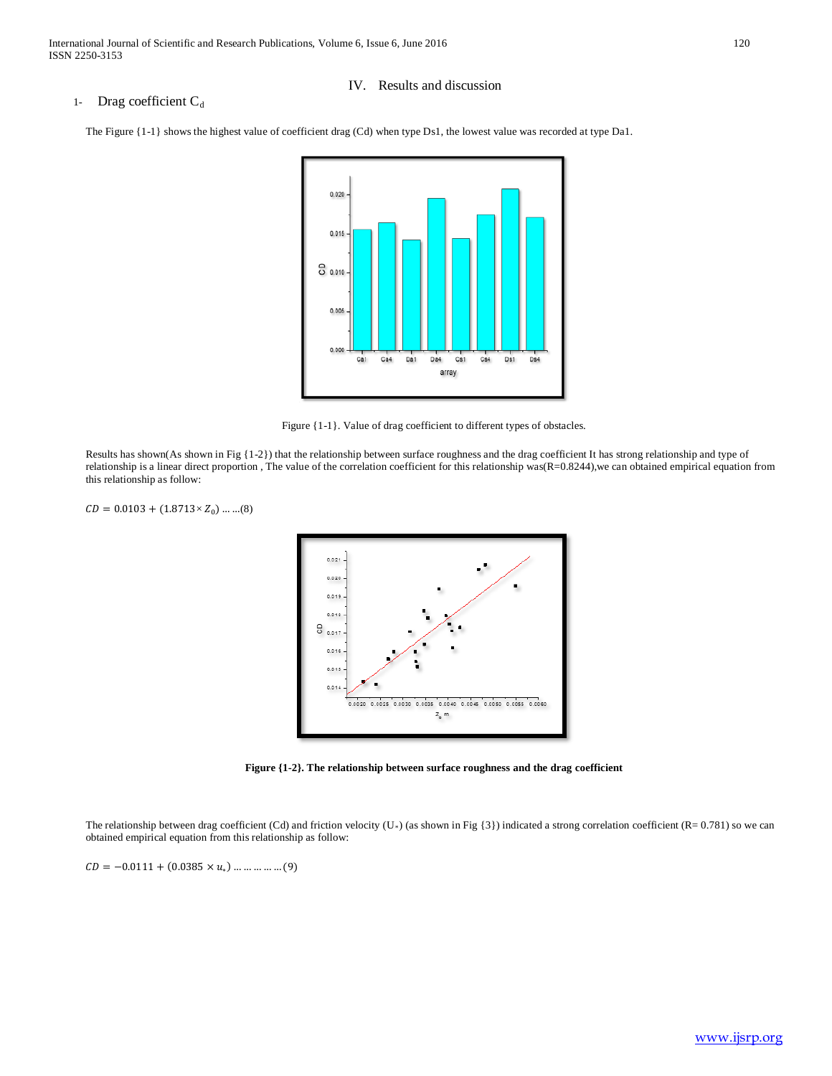# 1- Drag coefficient  $C_d$

### IV. Results and discussion

The Figure {1-1} shows the highest value of coefficient drag (Cd) when type Ds1, the lowest value was recorded at type Da1.



Figure {1-1}. Value of drag coefficient to different types of obstacles.

Results has shown(As shown in Fig {1-2}) that the relationship between surface roughness and the drag coefficient It has strong relationship and type of relationship is a linear direct proportion , The value of the correlation coefficient for this relationship was(R=0.8244),we can obtained empirical equation from this relationship as follow:

 $CD = 0.0103 + (1.8713 \times Z_0) \dots ... (8)$ 



**Figure {1-2}. The relationship between surface roughness and the drag coefficient**

The relationship between drag coefficient (Cd) and friction velocity (U<sub><sup>*R*</sub></sup>) (as shown in Fig {3}) indicated a strong correlation coefficient (R= 0.781) so we can</sub> obtained empirical equation from this relationship as follow:

 $CD = -0.0111 + (0.0385 \times u_*) \dots \dots \dots \dots (9)$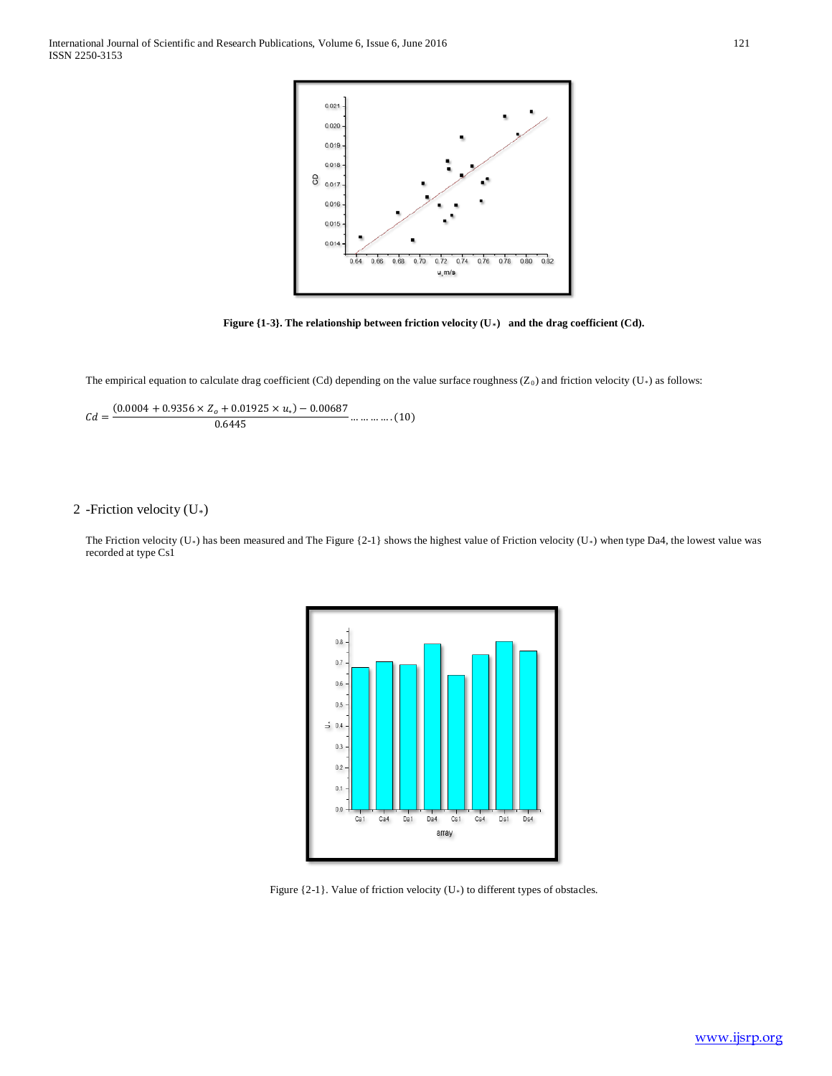

**Figure {1-3}. The relationship between friction velocity (U<sub>\*</sub>) and the drag coefficient (Cd).** 

The empirical equation to calculate drag coefficient (Cd) depending on the value surface roughness (Z<sub>0</sub>) and friction velocity (U<sup>\*</sup>) as follows:

$$
Cd = \frac{(0.0004 + 0.9356 \times Z_o + 0.01925 \times u_*) - 0.00687}{0.6445} \dots \dots \dots \dots (10)
$$

# 2 -Friction velocity (U<sub>\*</sub>)

The Friction velocity (U<sub><sup>*R*</sub></sup>) has been measured and The Figure {2-1} shows the highest value of Friction velocity (U<sub><sup>*R*</sub></sup>) when type Da4, the lowest value was</sub></sub> recorded at type Cs1



Figure {2-1}. Value of friction velocity (U<sup>\*</sup>) to different types of obstacles.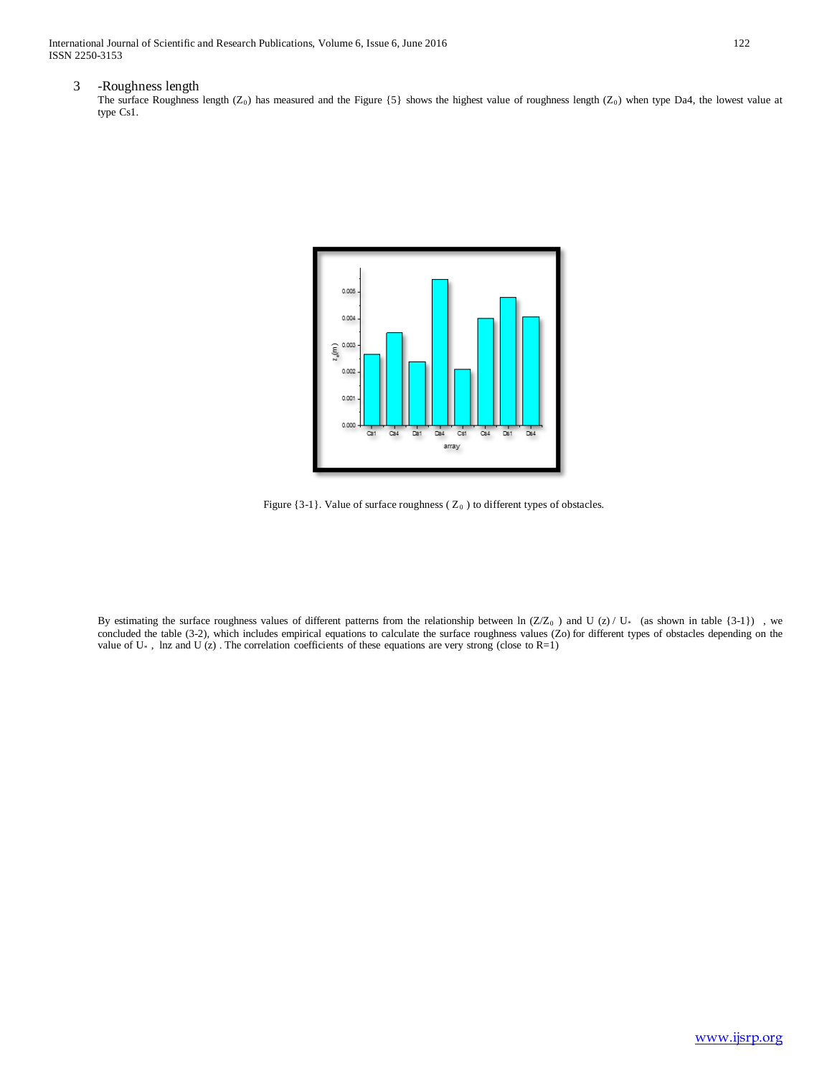International Journal of Scientific and Research Publications, Volume 6, Issue 6, June 2016 122 ISSN 2250-3153

### 3 -Roughness length

The surface Roughness length  $(Z_0)$  has measured and the Figure  $\{5\}$  shows the highest value of roughness length  $(Z_0)$  when type Da4, the lowest value at type Cs1.



Figure  $\{3-1\}$ . Value of surface roughness ( $Z_0$ ) to different types of obstacles.

By estimating the surface roughness values of different patterns from the relationship between  $\ln (Z/Z_0)$  and U (z) / U<sub>*R*</sub> (as shown in table {3-1}) , we concluded the table (3-2), which includes empirical equations to calculate the surface roughness values (Zo) for different types of obstacles depending on the value of  $U^*$ , lnz and  $U(z)$ . The correlation coefficients of these equations are very strong (close to R=1)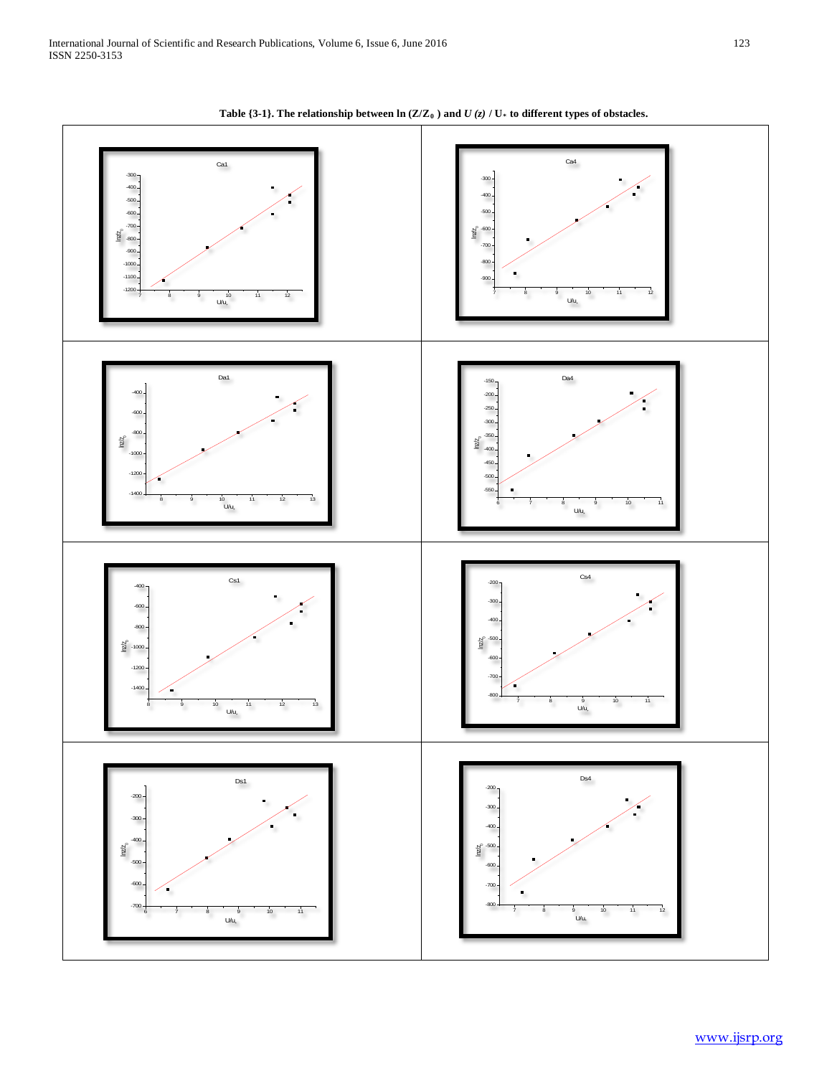

Table  $\{3-1\}$ . The relationship between  $\ln(Z/Z_0)$  and  $U(z)$  /  $U_*$  to different types of obstacles.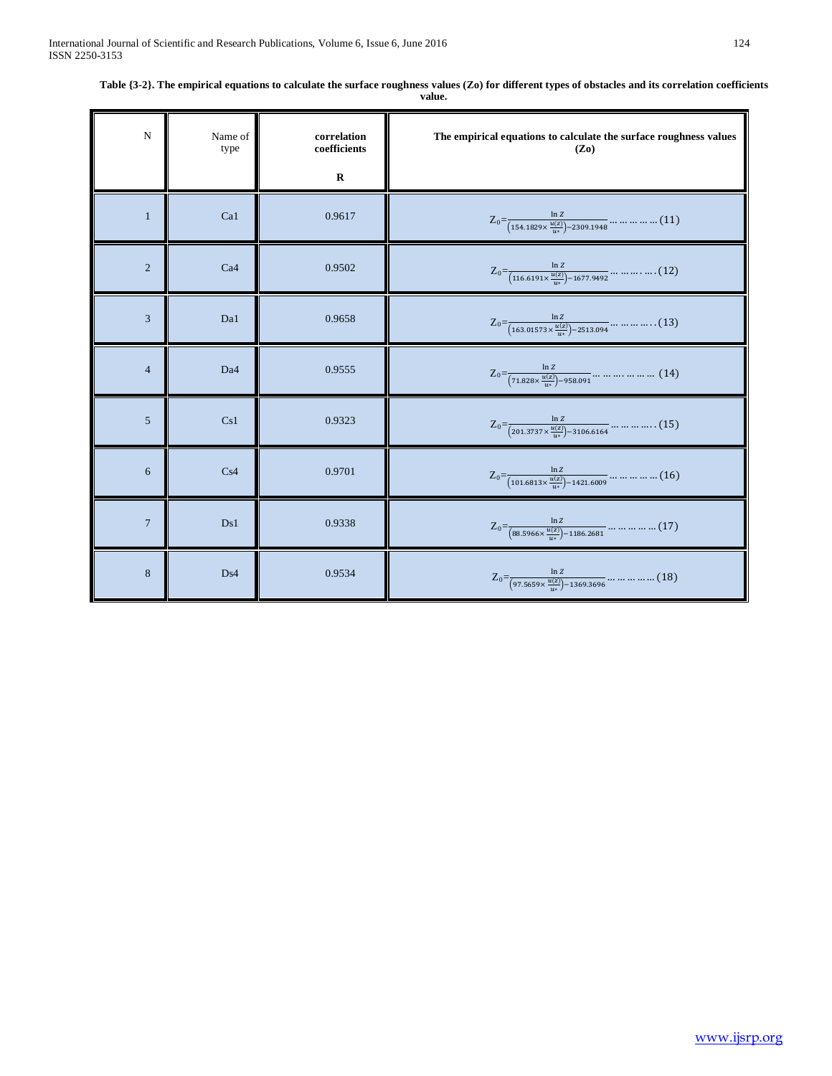| $\mathbf N$    | Name of<br>type | correlation<br>coefficients | The empirical equations to calculate the surface roughness values<br>$(Z_0)$                                  |
|----------------|-----------------|-----------------------------|---------------------------------------------------------------------------------------------------------------|
|                |                 | $\bf R$                     |                                                                                                               |
| $\mathbf{1}$   | Ca1             | 0.9617                      | $Z_0 = \frac{\ln z}{(154.1829 \times \frac{u(z)}{2}) - 2309.1948} \dots \dots \dots \dots (11)$               |
| $\overline{2}$ | Ca <sub>4</sub> | 0.9502                      | $Z_0 = \frac{\ln Z}{(116.6191 \times \frac{u(z)}{2}) - 1677.9492} \dots \dots \dots \dots (12)$               |
| 3              | Da1             | 0.9658                      | $Z_0 = \frac{\ln Z}{(163.01573 \times \frac{u(z)}{u}) - 2513.094} \dots \dots \dots \dots (13)$               |
| $\overline{4}$ | Da <sub>4</sub> | 0.9555                      | $Z_0 = \frac{\ln z}{(71.828 \times \frac{u(z)}{2}) - 958.091} \dots \dots \dots \dots \dots \dots \dots (14)$ |
| 5              | Cs1             | 0.9323                      | $Z_0 = \frac{\ln z}{(201.3737 \times \frac{u(z)}{u(z)}) - 3106.6164} \dots \dots \dots \dots (15)$            |
| 6              | Cs4             | 0.9701                      | $Z_0 = \frac{\ln Z}{(101.6813 \times \frac{u(z)}{u(z)}) - 1421.6009} \dots \dots \dots \dots (16)$            |
| $\overline{7}$ | Ds1             | 0.9338                      | $Z_0 = \frac{\ln z}{(88.5966 \times \frac{u(z)}{u_*}) - 1186.2681} \dots \dots \dots \dots \dots (17)$        |
| 8              | Ds4             | 0.9534                      | $Z_0 = \frac{\ln z}{(97.5659 \times \frac{u(z)}{u}) - 1369.3696} \dots \dots \dots \dots \dots (18)$          |

**Table {3-2}. The empirical equations to calculate the surface roughness values (Zo) for different types of obstacles and its correlation coefficients value.**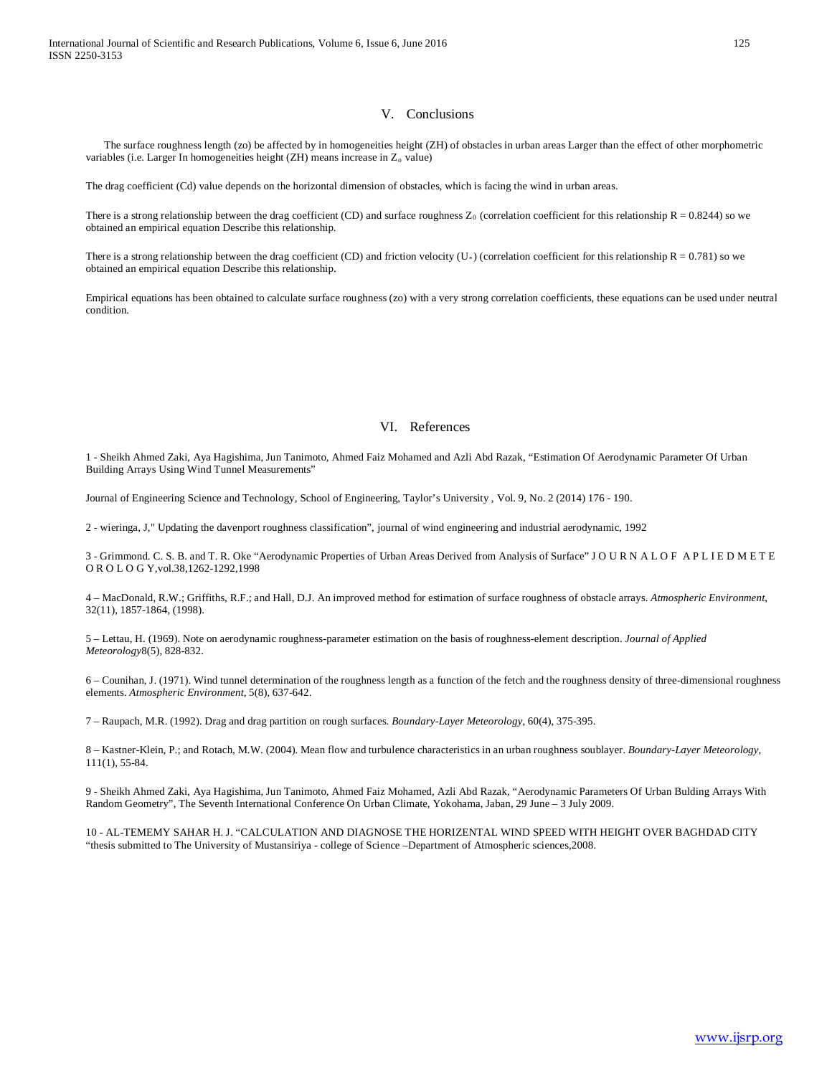### V. Conclusions

The surface roughness length (zo) be affected by in homogeneities height (ZH) of obstacles in urban areas Larger than the effect of other morphometric variables (i.e. Larger In homogeneities height (ZH) means increase in  $Z_0$  value)

The drag coefficient (Cd) value depends on the horizontal dimension of obstacles, which is facing the wind in urban areas.

There is a strong relationship between the drag coefficient (CD) and surface roughness  $Z_0$  (correlation coefficient for this relationship  $R = 0.8244$ ) so we obtained an empirical equation Describe this relationship.

There is a strong relationship between the drag coefficient (CD) and friction velocity (U<sub><sup>*R*</sup></sub>) (correlation coefficient for this relationship R = 0.781) so we obtained an empirical equation Describe this relationship.

Empirical equations has been obtained to calculate surface roughness (zo) with a very strong correlation coefficients, these equations can be used under neutral condition.

# VI. References

1 - Sheikh Ahmed Zaki, Aya Hagishima, Jun Tanimoto, Ahmed Faiz Mohamed and Azli Abd Razak, "Estimation Of Aerodynamic Parameter Of Urban Building Arrays Using Wind Tunnel Measurements"

Journal of Engineering Science and Technology, School of Engineering, Taylor's University , Vol. 9, No. 2 (2014) 176 - 190.

2 - wieringa, J," Updating the davenport roughness classification", journal of wind engineering and industrial aerodynamic, 1992

3 - Grimmond. C. S. B. and T. R. Oke "Aerodynamic Properties of Urban Areas Derived from Analysis of Surface" J O U R N A L O F A P L I E D M E T E O R O L O G Y,vol.38,1262-1292,1998

4 – MacDonald, R.W.; Griffiths, R.F.; and Hall, D.J. An improved method for estimation of surface roughness of obstacle arrays. *Atmospheric Environment*, 32(11), 1857-1864, (1998).

5 – Lettau, H. (1969). Note on aerodynamic roughness-parameter estimation on the basis of roughness-element description. *Journal of Applied Meteorology*8(5), 828-832.

6 – Counihan, J. (1971). Wind tunnel determination of the roughness length as a function of the fetch and the roughness density of three-dimensional roughness elements. *Atmospheric Environment*, 5(8), 637-642.

7 – Raupach, M.R. (1992). Drag and drag partition on rough surfaces. *Boundary-Layer Meteorology*, 60(4), 375-395.

8 – Kastner-Klein, P.; and Rotach, M.W. (2004). Mean flow and turbulence characteristics in an urban roughness soublayer. *Boundary-Layer Meteorology*, 111(1), 55-84.

9 - Sheikh Ahmed Zaki, Aya Hagishima, Jun Tanimoto, Ahmed Faiz Mohamed, Azli Abd Razak, "Aerodynamic Parameters Of Urban Bulding Arrays With Random Geometry", The Seventh International Conference On Urban Climate, Yokohama, Jaban, 29 June – 3 July 2009.

10 - AL-TEMEMY SAHAR H. J. "CALCULATION AND DIAGNOSE THE HORIZENTAL WIND SPEED WITH HEIGHT OVER BAGHDAD CITY "thesis submitted to The University of Mustansiriya - college of Science –Department of Atmospheric sciences,2008.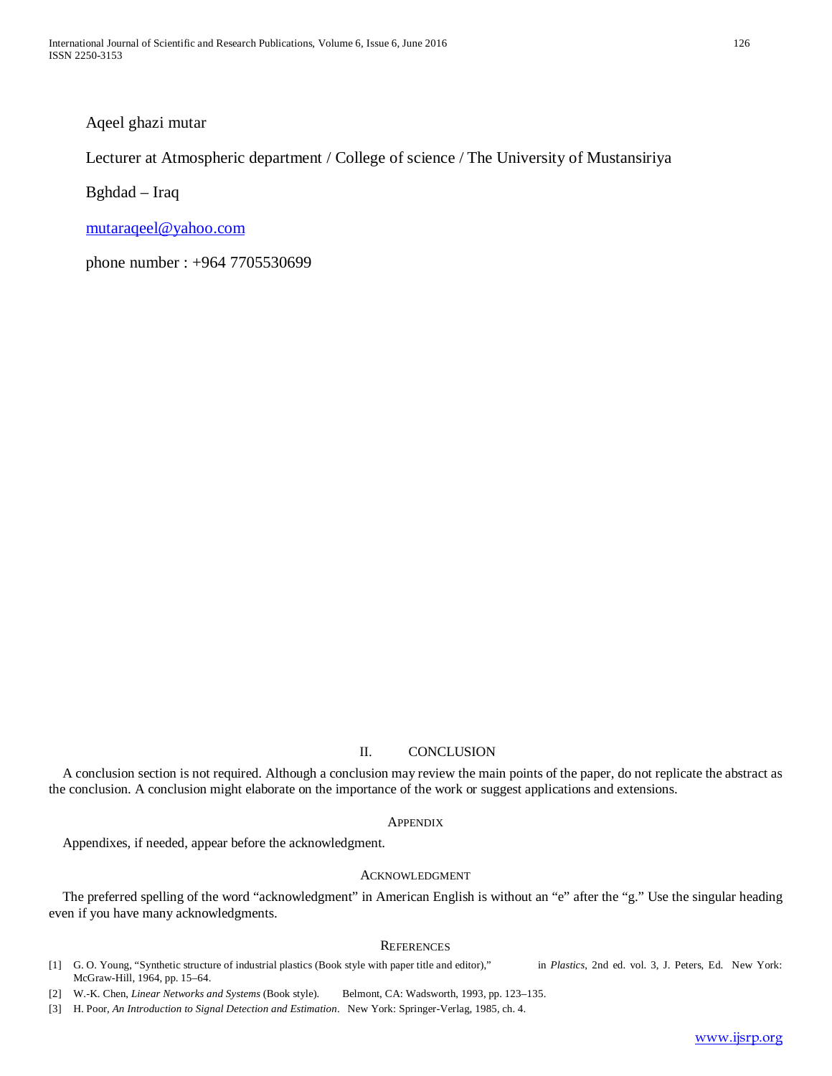Aqeel ghazi mutar

Lecturer at Atmospheric department / College of science / The University of Mustansiriya

Bghdad – Iraq

[mutaraqeel@yahoo.com](mailto:mutaraqeel@yahoo.com)

phone number : +964 7705530699

# II. CONCLUSION

A conclusion section is not required. Although a conclusion may review the main points of the paper, do not replicate the abstract as the conclusion. A conclusion might elaborate on the importance of the work or suggest applications and extensions.

## **APPENDIX**

Appendixes, if needed, appear before the acknowledgment.

# ACKNOWLEDGMENT

The preferred spelling of the word "acknowledgment" in American English is without an "e" after the "g." Use the singular heading even if you have many acknowledgments.

# **REFERENCES**

- [1] G. O. Young, "Synthetic structure of industrial plastics (Book style with paper title and editor)," in *Plastics*, 2nd ed. vol. 3, J. Peters, Ed. New York: McGraw-Hill, 1964, pp. 15–64.
- [2] W.-K. Chen, *Linear Networks and Systems* (Book style)*.* Belmont, CA: Wadsworth, 1993, pp. 123–135.
- [3] H. Poor, *An Introduction to Signal Detection and Estimation*. New York: Springer-Verlag, 1985, ch. 4.